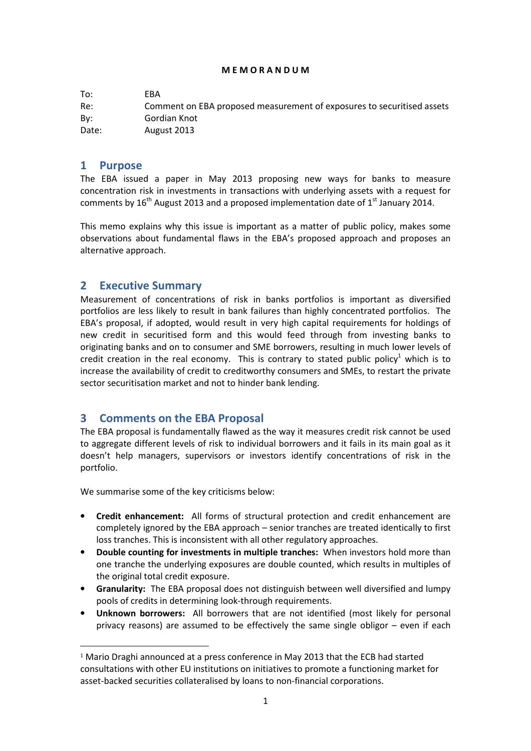#### M E M O R A N D U M

| To:   | FBA                                                                    |
|-------|------------------------------------------------------------------------|
| Re:   | Comment on EBA proposed measurement of exposures to securitised assets |
| Bv:   | Gordian Knot                                                           |
| Date: | August 2013                                                            |

## 1 Purpose

 $\overline{a}$ 

The EBA issued a paper in May 2013 proposing new ways for banks to measure concentration risk in investments in transactions with underlying assets with a request for comments by 16<sup>th</sup> August 2013 and a proposed implementation date of 1<sup>st</sup> January 2014.

This memo explains why this issue is important as a matter of public policy, makes some observations about fundamental flaws in the EBA's proposed approach and proposes an alternative approach.

## 2 Executive Summary

Measurement of concentrations of risk in banks portfolios is important as diversified portfolios are less likely to result in bank failures than highly concentrated portfolios. The EBA's proposal, if adopted, would result in very high capital requirements for holdings of new credit in securitised form and this would feed through from investing banks to originating banks and on to consumer and SME borrowers, resulting in much lower levels of credit creation in the real economy. This is contrary to stated public policy<sup>1</sup> which is to increase the availability of credit to creditworthy consumers and SMEs, to restart the private sector securitisation market and not to hinder bank lending.

## 3 Comments on the EBA Proposal

The EBA proposal is fundamentally flawed as the way it measures credit risk cannot be used to aggregate different levels of risk to individual borrowers and it fails in its main goal as it doesn't help managers, supervisors or investors identify concentrations of risk in the portfolio.

We summarise some of the key criticisms below:

- Credit enhancement: All forms of structural protection and credit enhancement are completely ignored by the EBA approach – senior tranches are treated identically to first loss tranches. This is inconsistent with all other regulatory approaches.
- Double counting for investments in multiple tranches: When investors hold more than one tranche the underlying exposures are double counted, which results in multiples of the original total credit exposure.
- Granularity: The EBA proposal does not distinguish between well diversified and lumpy pools of credits in determining look-through requirements.
- Unknown borrowers: All borrowers that are not identified (most likely for personal privacy reasons) are assumed to be effectively the same single obligor – even if each

<sup>1</sup> Mario Draghi announced at a press conference in May 2013 that the ECB had started consultations with other EU institutions on initiatives to promote a functioning market for asset-backed securities collateralised by loans to non-financial corporations.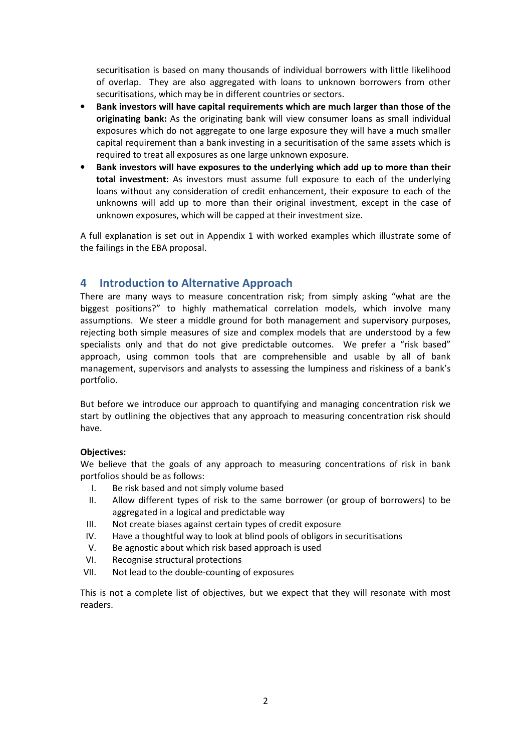securitisation is based on many thousands of individual borrowers with little likelihood of overlap. They are also aggregated with loans to unknown borrowers from other securitisations, which may be in different countries or sectors.

- Bank investors will have capital requirements which are much larger than those of the originating bank: As the originating bank will view consumer loans as small individual exposures which do not aggregate to one large exposure they will have a much smaller capital requirement than a bank investing in a securitisation of the same assets which is required to treat all exposures as one large unknown exposure.
- Bank investors will have exposures to the underlying which add up to more than their total investment: As investors must assume full exposure to each of the underlying loans without any consideration of credit enhancement, their exposure to each of the unknowns will add up to more than their original investment, except in the case of unknown exposures, which will be capped at their investment size.

A full explanation is set out in Appendix 1 with worked examples which illustrate some of the failings in the EBA proposal.

## 4 Introduction to Alternative Approach

There are many ways to measure concentration risk; from simply asking "what are the biggest positions?" to highly mathematical correlation models, which involve many assumptions. We steer a middle ground for both management and supervisory purposes, rejecting both simple measures of size and complex models that are understood by a few specialists only and that do not give predictable outcomes. We prefer a "risk based" approach, using common tools that are comprehensible and usable by all of bank management, supervisors and analysts to assessing the lumpiness and riskiness of a bank's portfolio.

But before we introduce our approach to quantifying and managing concentration risk we start by outlining the objectives that any approach to measuring concentration risk should have.

## Objectives:

We believe that the goals of any approach to measuring concentrations of risk in bank portfolios should be as follows:

- I. Be risk based and not simply volume based
- II. Allow different types of risk to the same borrower (or group of borrowers) to be aggregated in a logical and predictable way
- III. Not create biases against certain types of credit exposure
- IV. Have a thoughtful way to look at blind pools of obligors in securitisations
- V. Be agnostic about which risk based approach is used
- VI. Recognise structural protections
- VII. Not lead to the double-counting of exposures

This is not a complete list of objectives, but we expect that they will resonate with most readers.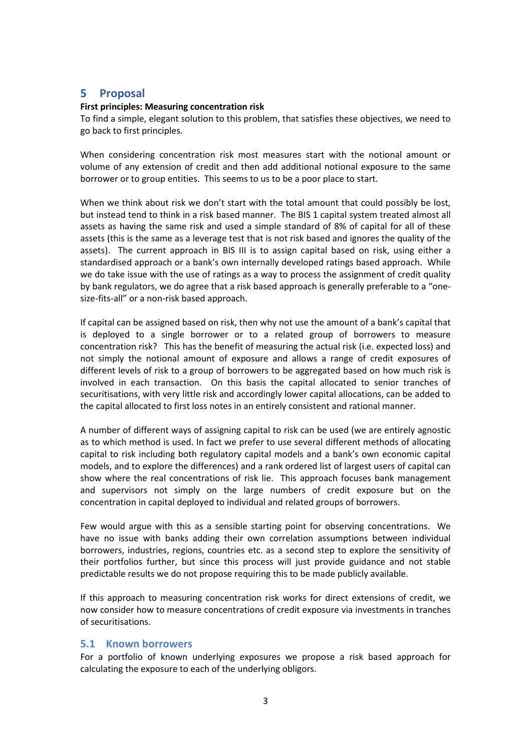# 5 Proposal

#### First principles: Measuring concentration risk

To find a simple, elegant solution to this problem, that satisfies these objectives, we need to go back to first principles.

When considering concentration risk most measures start with the notional amount or volume of any extension of credit and then add additional notional exposure to the same borrower or to group entities. This seems to us to be a poor place to start.

When we think about risk we don't start with the total amount that could possibly be lost, but instead tend to think in a risk based manner. The BIS 1 capital system treated almost all assets as having the same risk and used a simple standard of 8% of capital for all of these assets (this is the same as a leverage test that is not risk based and ignores the quality of the assets). The current approach in BIS III is to assign capital based on risk, using either a standardised approach or a bank's own internally developed ratings based approach. While we do take issue with the use of ratings as a way to process the assignment of credit quality by bank regulators, we do agree that a risk based approach is generally preferable to a "onesize-fits-all" or a non-risk based approach.

If capital can be assigned based on risk, then why not use the amount of a bank's capital that is deployed to a single borrower or to a related group of borrowers to measure concentration risk? This has the benefit of measuring the actual risk (i.e. expected loss) and not simply the notional amount of exposure and allows a range of credit exposures of different levels of risk to a group of borrowers to be aggregated based on how much risk is involved in each transaction. On this basis the capital allocated to senior tranches of securitisations, with very little risk and accordingly lower capital allocations, can be added to the capital allocated to first loss notes in an entirely consistent and rational manner.

A number of different ways of assigning capital to risk can be used (we are entirely agnostic as to which method is used. In fact we prefer to use several different methods of allocating capital to risk including both regulatory capital models and a bank's own economic capital models, and to explore the differences) and a rank ordered list of largest users of capital can show where the real concentrations of risk lie. This approach focuses bank management and supervisors not simply on the large numbers of credit exposure but on the concentration in capital deployed to individual and related groups of borrowers.

Few would argue with this as a sensible starting point for observing concentrations. We have no issue with banks adding their own correlation assumptions between individual borrowers, industries, regions, countries etc. as a second step to explore the sensitivity of their portfolios further, but since this process will just provide guidance and not stable predictable results we do not propose requiring this to be made publicly available.

If this approach to measuring concentration risk works for direct extensions of credit, we now consider how to measure concentrations of credit exposure via investments in tranches of securitisations.

#### 5.1 Known borrowers

For a portfolio of known underlying exposures we propose a risk based approach for calculating the exposure to each of the underlying obligors.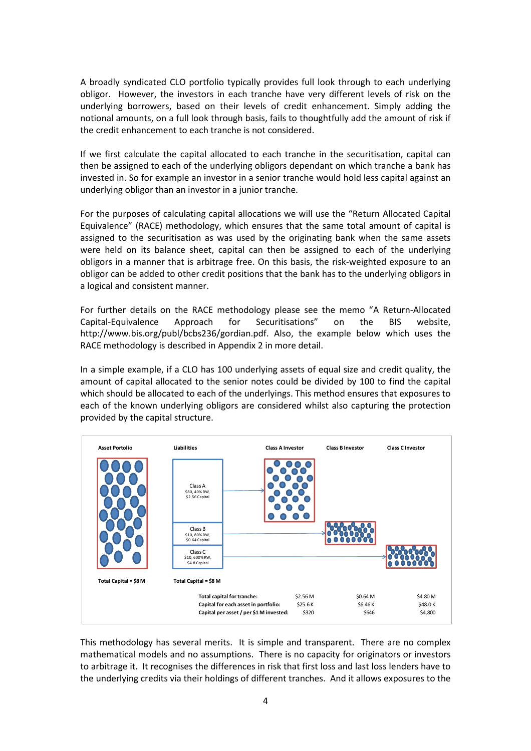A broadly syndicated CLO portfolio typically provides full look through to each underlying obligor. However, the investors in each tranche have very different levels of risk on the underlying borrowers, based on their levels of credit enhancement. Simply adding the notional amounts, on a full look through basis, fails to thoughtfully add the amount of risk if the credit enhancement to each tranche is not considered.

If we first calculate the capital allocated to each tranche in the securitisation, capital can then be assigned to each of the underlying obligors dependant on which tranche a bank has invested in. So for example an investor in a senior tranche would hold less capital against an underlying obligor than an investor in a junior tranche.

For the purposes of calculating capital allocations we will use the "Return Allocated Capital Equivalence" (RACE) methodology, which ensures that the same total amount of capital is assigned to the securitisation as was used by the originating bank when the same assets were held on its balance sheet, capital can then be assigned to each of the underlying obligors in a manner that is arbitrage free. On this basis, the risk-weighted exposure to an obligor can be added to other credit positions that the bank has to the underlying obligors in a logical and consistent manner.

For further details on the RACE methodology please see the memo "A Return-Allocated Capital-Equivalence Approach for Securitisations" on the BIS website, http://www.bis.org/publ/bcbs236/gordian.pdf. Also, the example below which uses the RACE methodology is described in Appendix 2 in more detail.

In a simple example, if a CLO has 100 underlying assets of equal size and credit quality, the amount of capital allocated to the senior notes could be divided by 100 to find the capital which should be allocated to each of the underlyings. This method ensures that exposures to each of the known underlying obligors are considered whilst also capturing the protection provided by the capital structure.



This methodology has several merits. It is simple and transparent. There are no complex mathematical models and no assumptions. There is no capacity for originators or investors to arbitrage it. It recognises the differences in risk that first loss and last loss lenders have to the underlying credits via their holdings of different tranches. And it allows exposures to the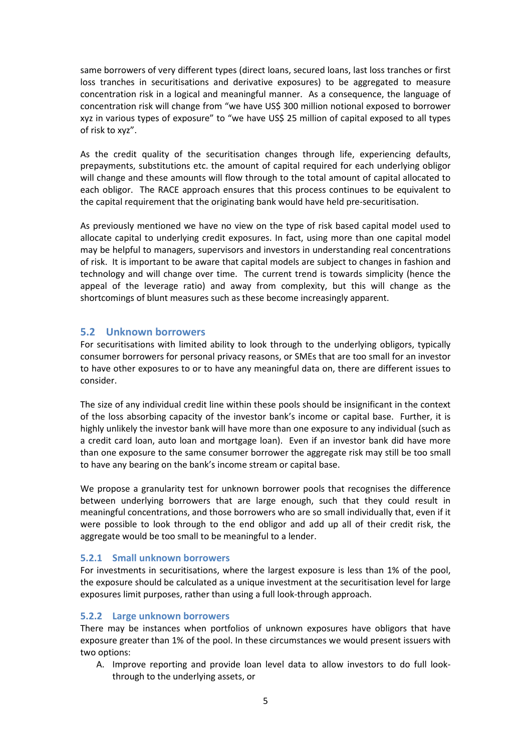same borrowers of very different types (direct loans, secured loans, last loss tranches or first loss tranches in securitisations and derivative exposures) to be aggregated to measure concentration risk in a logical and meaningful manner. As a consequence, the language of concentration risk will change from "we have US\$ 300 million notional exposed to borrower xyz in various types of exposure" to "we have US\$ 25 million of capital exposed to all types of risk to xyz".

As the credit quality of the securitisation changes through life, experiencing defaults, prepayments, substitutions etc. the amount of capital required for each underlying obligor will change and these amounts will flow through to the total amount of capital allocated to each obligor. The RACE approach ensures that this process continues to be equivalent to the capital requirement that the originating bank would have held pre-securitisation.

As previously mentioned we have no view on the type of risk based capital model used to allocate capital to underlying credit exposures. In fact, using more than one capital model may be helpful to managers, supervisors and investors in understanding real concentrations of risk. It is important to be aware that capital models are subject to changes in fashion and technology and will change over time. The current trend is towards simplicity (hence the appeal of the leverage ratio) and away from complexity, but this will change as the shortcomings of blunt measures such as these become increasingly apparent.

#### 5.2 Unknown borrowers

For securitisations with limited ability to look through to the underlying obligors, typically consumer borrowers for personal privacy reasons, or SMEs that are too small for an investor to have other exposures to or to have any meaningful data on, there are different issues to consider.

The size of any individual credit line within these pools should be insignificant in the context of the loss absorbing capacity of the investor bank's income or capital base. Further, it is highly unlikely the investor bank will have more than one exposure to any individual (such as a credit card loan, auto loan and mortgage loan). Even if an investor bank did have more than one exposure to the same consumer borrower the aggregate risk may still be too small to have any bearing on the bank's income stream or capital base.

We propose a granularity test for unknown borrower pools that recognises the difference between underlying borrowers that are large enough, such that they could result in meaningful concentrations, and those borrowers who are so small individually that, even if it were possible to look through to the end obligor and add up all of their credit risk, the aggregate would be too small to be meaningful to a lender.

#### 5.2.1 Small unknown borrowers

For investments in securitisations, where the largest exposure is less than 1% of the pool, the exposure should be calculated as a unique investment at the securitisation level for large exposures limit purposes, rather than using a full look-through approach.

## 5.2.2 Large unknown borrowers

There may be instances when portfolios of unknown exposures have obligors that have exposure greater than 1% of the pool. In these circumstances we would present issuers with two options:

A. Improve reporting and provide loan level data to allow investors to do full lookthrough to the underlying assets, or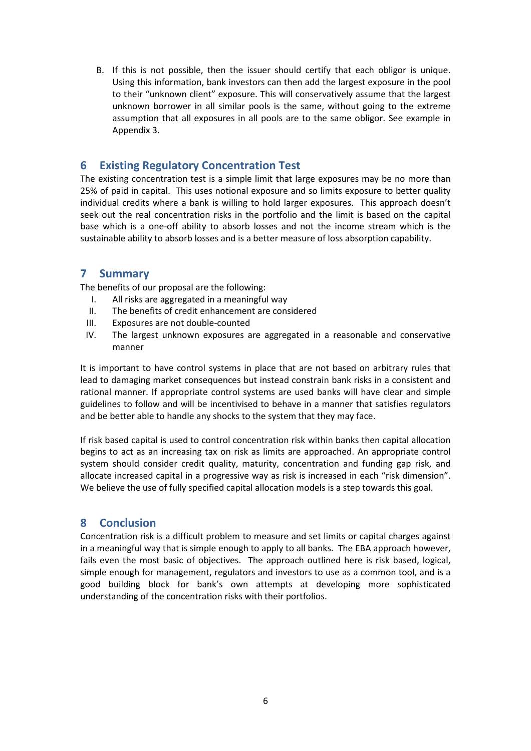B. If this is not possible, then the issuer should certify that each obligor is unique. Using this information, bank investors can then add the largest exposure in the pool to their "unknown client" exposure. This will conservatively assume that the largest unknown borrower in all similar pools is the same, without going to the extreme assumption that all exposures in all pools are to the same obligor. See example in Appendix 3.

# 6 Existing Regulatory Concentration Test

The existing concentration test is a simple limit that large exposures may be no more than 25% of paid in capital. This uses notional exposure and so limits exposure to better quality individual credits where a bank is willing to hold larger exposures. This approach doesn't seek out the real concentration risks in the portfolio and the limit is based on the capital base which is a one-off ability to absorb losses and not the income stream which is the sustainable ability to absorb losses and is a better measure of loss absorption capability.

## 7 Summary

The benefits of our proposal are the following:

- I. All risks are aggregated in a meaningful way
- II. The benefits of credit enhancement are considered
- III. Exposures are not double-counted
- IV. The largest unknown exposures are aggregated in a reasonable and conservative manner

It is important to have control systems in place that are not based on arbitrary rules that lead to damaging market consequences but instead constrain bank risks in a consistent and rational manner. If appropriate control systems are used banks will have clear and simple guidelines to follow and will be incentivised to behave in a manner that satisfies regulators and be better able to handle any shocks to the system that they may face.

If risk based capital is used to control concentration risk within banks then capital allocation begins to act as an increasing tax on risk as limits are approached. An appropriate control system should consider credit quality, maturity, concentration and funding gap risk, and allocate increased capital in a progressive way as risk is increased in each "risk dimension". We believe the use of fully specified capital allocation models is a step towards this goal.

## 8 Conclusion

Concentration risk is a difficult problem to measure and set limits or capital charges against in a meaningful way that is simple enough to apply to all banks. The EBA approach however, fails even the most basic of objectives. The approach outlined here is risk based, logical, simple enough for management, regulators and investors to use as a common tool, and is a good building block for bank's own attempts at developing more sophisticated understanding of the concentration risks with their portfolios.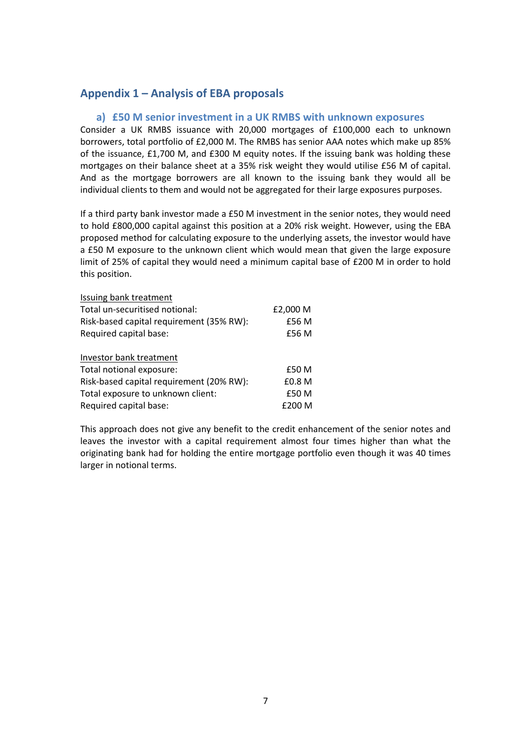## Appendix 1 – Analysis of EBA proposals

#### a) £50 M senior investment in a UK RMBS with unknown exposures

Consider a UK RMBS issuance with 20,000 mortgages of £100,000 each to unknown borrowers, total portfolio of £2,000 M. The RMBS has senior AAA notes which make up 85% of the issuance, £1,700 M, and £300 M equity notes. If the issuing bank was holding these mortgages on their balance sheet at a 35% risk weight they would utilise £56 M of capital. And as the mortgage borrowers are all known to the issuing bank they would all be individual clients to them and would not be aggregated for their large exposures purposes.

If a third party bank investor made a £50 M investment in the senior notes, they would need to hold £800,000 capital against this position at a 20% risk weight. However, using the EBA proposed method for calculating exposure to the underlying assets, the investor would have a £50 M exposure to the unknown client which would mean that given the large exposure limit of 25% of capital they would need a minimum capital base of £200 M in order to hold this position.

| Issuing bank treatment                   |          |
|------------------------------------------|----------|
| Total un-securitised notional:           | £2,000 M |
| Risk-based capital requirement (35% RW): | £56 M    |
| Required capital base:                   | £56 M    |
| Investor bank treatment                  |          |
| Total notional exposure:                 | £50 M    |
| Risk-based capital requirement (20% RW): | £0.8 M   |
| Total exposure to unknown client:        | £50 M    |
| Required capital base:                   | £200 M   |

This approach does not give any benefit to the credit enhancement of the senior notes and leaves the investor with a capital requirement almost four times higher than what the originating bank had for holding the entire mortgage portfolio even though it was 40 times larger in notional terms.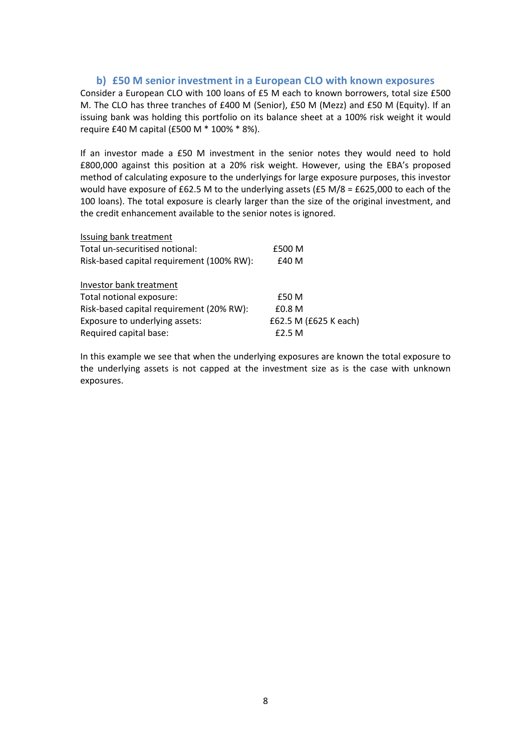#### b) £50 M senior investment in a European CLO with known exposures

Consider a European CLO with 100 loans of £5 M each to known borrowers, total size £500 M. The CLO has three tranches of £400 M (Senior), £50 M (Mezz) and £50 M (Equity). If an issuing bank was holding this portfolio on its balance sheet at a 100% risk weight it would require £40 M capital (£500 M \* 100% \* 8%).

If an investor made a £50 M investment in the senior notes they would need to hold £800,000 against this position at a 20% risk weight. However, using the EBA's proposed method of calculating exposure to the underlyings for large exposure purposes, this investor would have exposure of £62.5 M to the underlying assets (£5 M/8 = £625,000 to each of the 100 loans). The total exposure is clearly larger than the size of the original investment, and the credit enhancement available to the senior notes is ignored.

| Issuing bank treatment                    |                       |
|-------------------------------------------|-----------------------|
| Total un-securitised notional:            | £500 M                |
| Risk-based capital requirement (100% RW): | £40 M                 |
| Investor bank treatment                   |                       |
| Total notional exposure:                  | £50 M                 |
| Risk-based capital requirement (20% RW):  | £0.8 M                |
| Exposure to underlying assets:            | £62.5 M (£625 K each) |
| Required capital base:                    | f2.5M                 |

In this example we see that when the underlying exposures are known the total exposure to the underlying assets is not capped at the investment size as is the case with unknown exposures.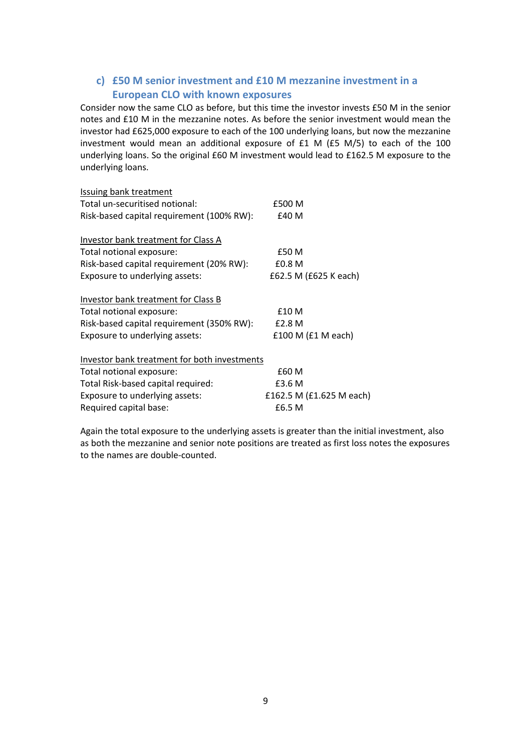## c) £50 M senior investment and £10 M mezzanine investment in a European CLO with known exposures

Consider now the same CLO as before, but this time the investor invests £50 M in the senior notes and £10 M in the mezzanine notes. As before the senior investment would mean the investor had £625,000 exposure to each of the 100 underlying loans, but now the mezzanine investment would mean an additional exposure of £1 M (£5 M/5) to each of the 100 underlying loans. So the original £60 M investment would lead to £162.5 M exposure to the underlying loans.

| <b>Issuing bank treatment</b>                |                          |
|----------------------------------------------|--------------------------|
| Total un-securitised notional:               | £500 M                   |
| Risk-based capital requirement (100% RW):    | £40 M                    |
|                                              |                          |
| Investor bank treatment for Class A          |                          |
| Total notional exposure:                     | £50 M                    |
| Risk-based capital requirement (20% RW):     | £0.8 M                   |
| Exposure to underlying assets:               | £62.5 M (£625 K each)    |
| Investor bank treatment for Class B          |                          |
| Total notional exposure:                     | £10 M                    |
| Risk-based capital requirement (350% RW):    | £2.8 M                   |
| Exposure to underlying assets:               | £100 M (£1 M each)       |
| Investor bank treatment for both investments |                          |
| Total notional exposure:                     | £60 M                    |
| Total Risk-based capital required:           | £3.6 M                   |
| Exposure to underlying assets:               | £162.5 M (£1.625 M each) |
| Required capital base:                       | £6.5 M                   |
|                                              |                          |

Again the total exposure to the underlying assets is greater than the initial investment, also as both the mezzanine and senior note positions are treated as first loss notes the exposures to the names are double-counted.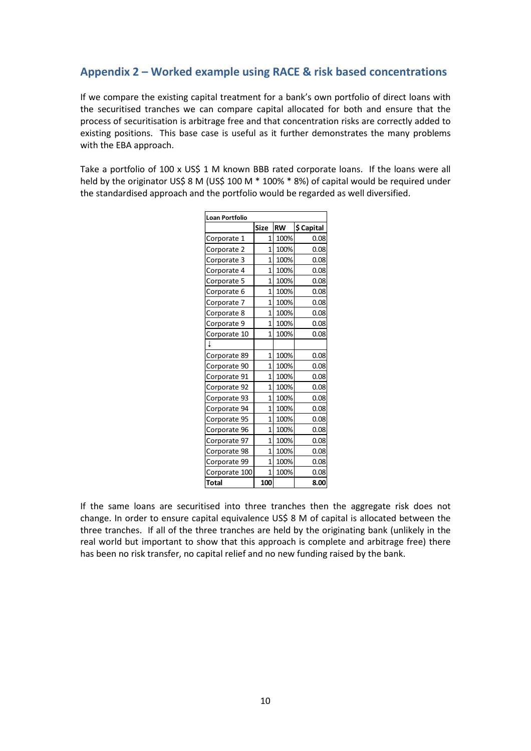# Appendix 2 – Worked example using RACE & risk based concentrations

If we compare the existing capital treatment for a bank's own portfolio of direct loans with the securitised tranches we can compare capital allocated for both and ensure that the process of securitisation is arbitrage free and that concentration risks are correctly added to existing positions. This base case is useful as it further demonstrates the many problems with the EBA approach.

Take a portfolio of 100 x US\$ 1 M known BBB rated corporate loans. If the loans were all held by the originator US\$ 8 M (US\$ 100 M \* 100% \* 8%) of capital would be required under the standardised approach and the portfolio would be regarded as well diversified.

| <b>Loan Portfolio</b> |                |           |            |
|-----------------------|----------------|-----------|------------|
|                       | <b>Size</b>    | <b>RW</b> | \$ Capital |
| Corporate 1           | $\mathbf{1}$   | 100%      | 0.08       |
| Corporate 2           | $\overline{1}$ | 100%      | 0.08       |
| Corporate 3           | $\overline{1}$ | 100%      | 0.08       |
| Corporate 4           | $\overline{1}$ | 100%      | 0.08       |
| Corporate 5           | $\overline{1}$ | 100%      | 0.08       |
| Corporate 6           | $\overline{1}$ | 100%      | 0.08       |
| Corporate 7           | $\overline{1}$ | 100%      | 0.08       |
| Corporate 8           | 1              | 100%      | 0.08       |
| Corporate 9           | $\overline{1}$ | 100%      | 0.08       |
| Corporate 10          | $\mathbf{1}$   | 100%      | 0.08       |
| ∔                     |                |           |            |
| Corporate 89          | 1              | 100%      | 0.08       |
| Corporate 90          | $\overline{1}$ | 100%      | 0.08       |
| Corporate 91          | $\overline{1}$ | 100%      | 0.08       |
| Corporate 92          | $\overline{1}$ | 100%      | 0.08       |
| Corporate 93          | $\overline{1}$ | 100%      | 0.08       |
| Corporate 94          | 1              | 100%      | 0.08       |
| Corporate 95          | $\mathbf{1}$   | 100%      | 0.08       |
| Corporate 96          | $\overline{1}$ | 100%      | 0.08       |
| Corporate 97          | $\overline{1}$ | 100%      | 0.08       |
| Corporate 98          | $\overline{1}$ | 100%      | 0.08       |
| Corporate 99          | $\overline{1}$ | 100%      | 0.08       |
| Corporate 100         | 1              | 100%      | 0.08       |
| Total                 | 100            |           | 8.00       |

If the same loans are securitised into three tranches then the aggregate risk does not change. In order to ensure capital equivalence US\$ 8 M of capital is allocated between the three tranches. If all of the three tranches are held by the originating bank (unlikely in the real world but important to show that this approach is complete and arbitrage free) there has been no risk transfer, no capital relief and no new funding raised by the bank.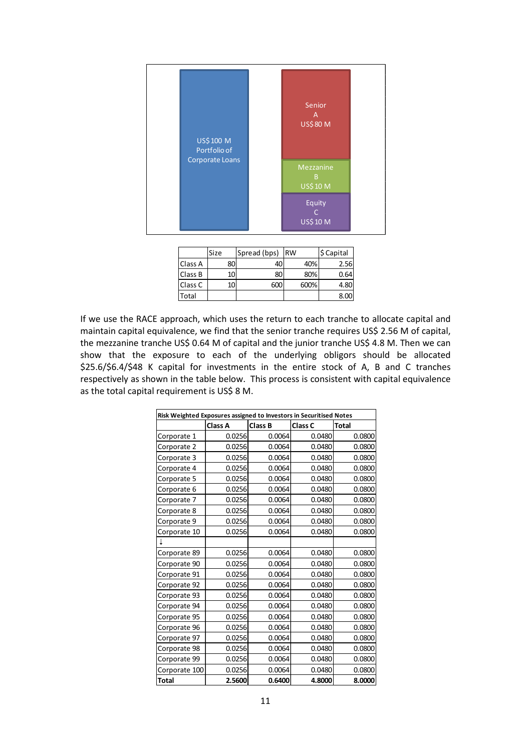

|         | Size | Spread (bps) | <b>RW</b> | \$ Capital |
|---------|------|--------------|-----------|------------|
| Class A | 80   | 40           | 40%       | 2.56       |
| Class B | 10   | 80           | 80%       | 0.64       |
| Class C | 10   | 600          | 600%      | 4.80       |
| Total   |      |              |           | 8.00       |

If we use the RACE approach, which uses the return to each tranche to allocate capital and maintain capital equivalence, we find that the senior tranche requires US\$ 2.56 M of capital, the mezzanine tranche US\$ 0.64 M of capital and the junior tranche US\$ 4.8 M. Then we can show that the exposure to each of the underlying obligors should be allocated \$25.6/\$6.4/\$48 K capital for investments in the entire stock of A, B and C tranches respectively as shown in the table below. This process is consistent with capital equivalence as the total capital requirement is US\$ 8 M.

|               | Risk Weighted Exposures assigned to Investors in Securitised Notes |         |         |        |  |
|---------------|--------------------------------------------------------------------|---------|---------|--------|--|
|               | Class A                                                            | Class B | Class C | Total  |  |
| Corporate 1   | 0.0256                                                             | 0.0064  | 0.0480  | 0.0800 |  |
| Corporate 2   | 0.0256                                                             | 0.0064  | 0.0480  | 0.0800 |  |
| Corporate 3   | 0.0256                                                             | 0.0064  | 0.0480  | 0.0800 |  |
| Corporate 4   | 0.0256                                                             | 0.0064  | 0.0480  | 0.0800 |  |
| Corporate 5   | 0.0256                                                             | 0.0064  | 0.0480  | 0.0800 |  |
| Corporate 6   | 0.0256                                                             | 0.0064  | 0.0480  | 0.0800 |  |
| Corporate 7   | 0.0256                                                             | 0.0064  | 0.0480  | 0.0800 |  |
| Corporate 8   | 0.0256                                                             | 0.0064  | 0.0480  | 0.0800 |  |
| Corporate 9   | 0.0256                                                             | 0.0064  | 0.0480  | 0.0800 |  |
| Corporate 10  | 0.0256                                                             | 0.0064  | 0.0480  | 0.0800 |  |
|               |                                                                    |         |         |        |  |
| Corporate 89  | 0.0256                                                             | 0.0064  | 0.0480  | 0.0800 |  |
| Corporate 90  | 0.0256                                                             | 0.0064  | 0.0480  | 0.0800 |  |
| Corporate 91  | 0.0256                                                             | 0.0064  | 0.0480  | 0.0800 |  |
| Corporate 92  | 0.0256                                                             | 0.0064  | 0.0480  | 0.0800 |  |
| Corporate 93  | 0.0256                                                             | 0.0064  | 0.0480  | 0.0800 |  |
| Corporate 94  | 0.0256                                                             | 0.0064  | 0.0480  | 0.0800 |  |
| Corporate 95  | 0.0256                                                             | 0.0064  | 0.0480  | 0.0800 |  |
| Corporate 96  | 0.0256                                                             | 0.0064  | 0.0480  | 0.0800 |  |
| Corporate 97  | 0.0256                                                             | 0.0064  | 0.0480  | 0.0800 |  |
| Corporate 98  | 0.0256                                                             | 0.0064  | 0.0480  | 0.0800 |  |
| Corporate 99  | 0.0256                                                             | 0.0064  | 0.0480  | 0.0800 |  |
| Corporate 100 | 0.0256                                                             | 0.0064  | 0.0480  | 0.0800 |  |
| Total         | 2.5600                                                             | 0.6400  | 4.8000  | 8.0000 |  |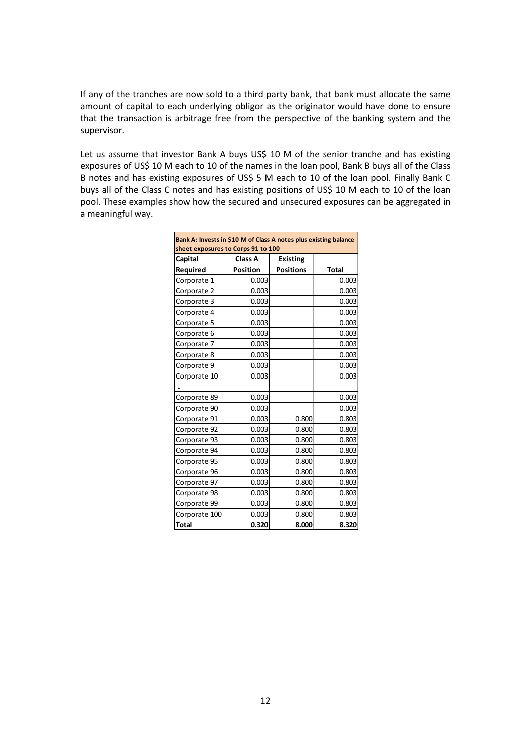If any of the tranches are now sold to a third party bank, that bank must allocate the same amount of capital to each underlying obligor as the originator would have done to ensure that the transaction is arbitrage free from the perspective of the banking system and the supervisor.

Let us assume that investor Bank A buys US\$ 10 M of the senior tranche and has existing exposures of US\$ 10 M each to 10 of the names in the loan pool, Bank B buys all of the Class B notes and has existing exposures of US\$ 5 M each to 10 of the loan pool. Finally Bank C buys all of the Class C notes and has existing positions of US\$ 10 M each to 10 of the loan pool. These examples show how the secured and unsecured exposures can be aggregated in a meaningful way.

| Bank A: Invests in \$10 M of Class A notes plus existing balance<br>sheet exposures to Corps 91 to 100 |                 |                  |              |  |  |
|--------------------------------------------------------------------------------------------------------|-----------------|------------------|--------------|--|--|
| Class A<br>Capital<br><b>Existing</b>                                                                  |                 |                  |              |  |  |
| Required                                                                                               | <b>Position</b> | <b>Positions</b> | <b>Total</b> |  |  |
| Corporate 1                                                                                            | 0.003           |                  | 0.003        |  |  |
| Corporate 2                                                                                            | 0.003           |                  | 0.003        |  |  |
| Corporate 3                                                                                            | 0.003           |                  | 0.003        |  |  |
| Corporate 4                                                                                            | 0.003           |                  | 0.003        |  |  |
| Corporate 5                                                                                            | 0.003           |                  | 0.003        |  |  |
| Corporate 6                                                                                            | 0.003           |                  | 0.003        |  |  |
| Corporate 7                                                                                            | 0.003           |                  | 0.003        |  |  |
| Corporate 8                                                                                            | 0.003           |                  | 0.003        |  |  |
| Corporate 9                                                                                            | 0.003           |                  | 0.003        |  |  |
| Corporate 10                                                                                           | 0.003           |                  | 0.003        |  |  |
|                                                                                                        |                 |                  |              |  |  |
| Corporate 89                                                                                           | 0.003           |                  | 0.003        |  |  |
| Corporate 90                                                                                           | 0.003           |                  | 0.003        |  |  |
| Corporate 91                                                                                           | 0.003           | 0.800            | 0.803        |  |  |
| Corporate 92                                                                                           | 0.003           | 0.800            | 0.803        |  |  |
| Corporate 93                                                                                           | 0.003           | 0.800            | 0.803        |  |  |
| Corporate 94                                                                                           | 0.003           | 0.800            | 0.803        |  |  |
| Corporate 95                                                                                           | 0.003           | 0.800            | 0.803        |  |  |
| Corporate 96                                                                                           | 0.003           | 0.800            | 0.803        |  |  |
| Corporate 97                                                                                           | 0.003           | 0.800            | 0.803        |  |  |
| Corporate 98                                                                                           | 0.003           | 0.800            | 0.803        |  |  |
| Corporate 99                                                                                           | 0.003           | 0.800            | 0.803        |  |  |
| Corporate 100                                                                                          | 0.003           | 0.800            | 0.803        |  |  |
| <b>Total</b>                                                                                           | 0.320           | 8.000            | 8.320        |  |  |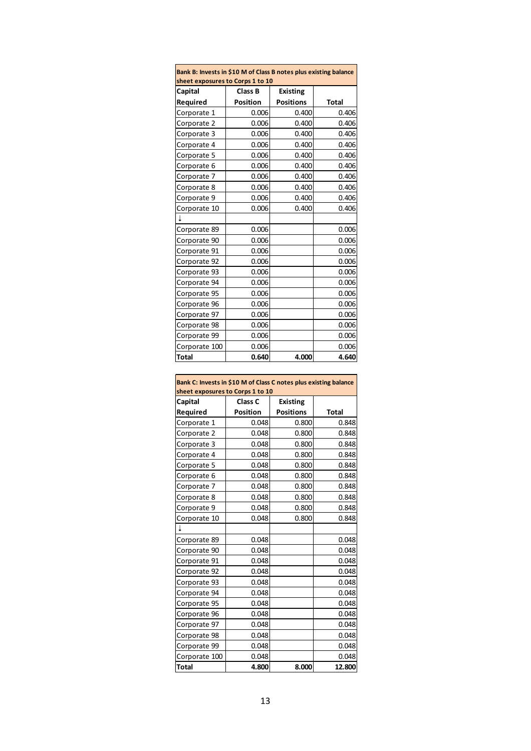| Bank B: Invests in \$10 M of Class B notes plus existing balance |                 |                  |              |  |  |
|------------------------------------------------------------------|-----------------|------------------|--------------|--|--|
| sheet exposures to Corps 1 to 10                                 |                 |                  |              |  |  |
| Capital                                                          | <b>Class B</b>  | <b>Existing</b>  |              |  |  |
| Required                                                         | <b>Position</b> | <b>Positions</b> | <b>Total</b> |  |  |
| Corporate 1                                                      | 0.006           | 0.400            | 0.406        |  |  |
| Corporate 2                                                      | 0.006           | 0.400            | 0.406        |  |  |
| Corporate 3                                                      | 0.006           | 0.400            | 0.406        |  |  |
| Corporate 4                                                      | 0.006           | 0.400            | 0.406        |  |  |
| Corporate 5                                                      | 0.006           | 0.400            | 0.406        |  |  |
| Corporate 6                                                      | 0.006           | 0.400            | 0.406        |  |  |
| Corporate 7                                                      | 0.006           | 0.400            | 0.406        |  |  |
| Corporate 8                                                      | 0.006           | 0.400            | 0.406        |  |  |
| Corporate 9                                                      | 0.006           | 0.400            | 0.406        |  |  |
| Corporate 10                                                     | 0.006           | 0.400            | 0.406        |  |  |
| İ                                                                |                 |                  |              |  |  |
| Corporate 89                                                     | 0.006           |                  | 0.006        |  |  |
| Corporate 90                                                     | 0.006           |                  | 0.006        |  |  |
| Corporate 91                                                     | 0.006           |                  | 0.006        |  |  |
| Corporate 92                                                     | 0.006           |                  | 0.006        |  |  |
| Corporate 93                                                     | 0.006           |                  | 0.006        |  |  |
| Corporate 94                                                     | 0.006           |                  | 0.006        |  |  |
| Corporate 95                                                     | 0.006           |                  | 0.006        |  |  |
| Corporate 96                                                     | 0.006           |                  | 0.006        |  |  |
| Corporate 97                                                     | 0.006           |                  | 0.006        |  |  |
| Corporate 98                                                     | 0.006           |                  | 0.006        |  |  |
| Corporate 99                                                     | 0.006           |                  | 0.006        |  |  |
| Corporate 100                                                    | 0.006           |                  | 0.006        |  |  |
| Total                                                            | 0.640           | 4.000            | 4.640        |  |  |

| Bank C: Invests in \$10 M of Class C notes plus existing balance<br>sheet exposures to Corps 1 to 10 |                            |                  |        |  |  |
|------------------------------------------------------------------------------------------------------|----------------------------|------------------|--------|--|--|
| Capital                                                                                              | Class C<br><b>Existing</b> |                  |        |  |  |
| Required                                                                                             | <b>Position</b>            | <b>Positions</b> | Total  |  |  |
| Corporate 1                                                                                          | 0.048                      | 0.800            | 0.848  |  |  |
| Corporate 2                                                                                          | 0.048                      | 0.800            | 0.848  |  |  |
| Corporate 3                                                                                          | 0.048                      | 0.800            | 0.848  |  |  |
| Corporate 4                                                                                          | 0.048                      | 0.800            | 0.848  |  |  |
| Corporate 5                                                                                          | 0.048                      | 0.800            | 0.848  |  |  |
| Corporate 6                                                                                          | 0.048                      | 0.800            | 0.848  |  |  |
| Corporate 7                                                                                          | 0.048                      | 0.800            | 0.848  |  |  |
| Corporate 8                                                                                          | 0.048                      | 0.800            | 0.848  |  |  |
| Corporate 9                                                                                          | 0.048                      | 0.800            | 0.848  |  |  |
| Corporate 10                                                                                         | 0.048                      | 0.800            | 0.848  |  |  |
|                                                                                                      |                            |                  |        |  |  |
| Corporate 89                                                                                         | 0.048                      |                  | 0.048  |  |  |
| Corporate 90                                                                                         | 0.048                      |                  | 0.048  |  |  |
| Corporate 91                                                                                         | 0.048                      |                  | 0.048  |  |  |
| Corporate 92                                                                                         | 0.048                      |                  | 0.048  |  |  |
| Corporate 93                                                                                         | 0.048                      |                  | 0.048  |  |  |
| Corporate 94                                                                                         | 0.048                      |                  | 0.048  |  |  |
| Corporate 95                                                                                         | 0.048                      |                  | 0.048  |  |  |
| Corporate 96                                                                                         | 0.048                      |                  | 0.048  |  |  |
| Corporate 97                                                                                         | 0.048                      |                  | 0.048  |  |  |
| Corporate 98                                                                                         | 0.048                      |                  | 0.048  |  |  |
| Corporate 99                                                                                         | 0.048                      |                  | 0.048  |  |  |
| Corporate 100                                                                                        | 0.048                      |                  | 0.048  |  |  |
| Total                                                                                                | 4.800                      | 8.000            | 12.800 |  |  |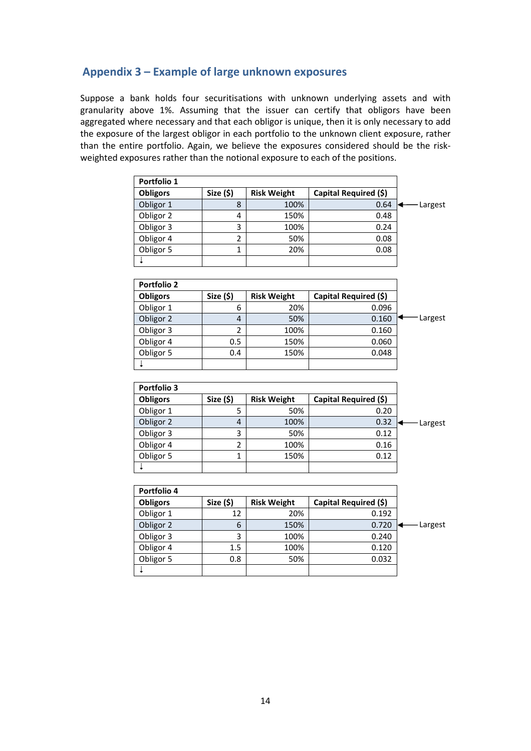# Appendix 3 – Example of large unknown exposures

Suppose a bank holds four securitisations with unknown underlying assets and with granularity above 1%. Assuming that the issuer can certify that obligors have been aggregated where necessary and that each obligor is unique, then it is only necessary to add the exposure of the largest obligor in each portfolio to the unknown client exposure, rather than the entire portfolio. Again, we believe the exposures considered should be the riskweighted exposures rather than the notional exposure to each of the positions.

| Portfolio 1        |                |                    |                       |               |
|--------------------|----------------|--------------------|-----------------------|---------------|
| <b>Obligors</b>    | Size (\$)      | <b>Risk Weight</b> | Capital Required (\$) |               |
| Obligor 1          | 8              | 100%               | 0.64                  | - Largest     |
| Obligor 2          | 4              | 150%               | 0.48                  |               |
| Obligor 3          | 3              | 100%               | 0.24                  |               |
| Obligor 4          | $\overline{2}$ | 50%                | 0.08                  |               |
| Obligor 5          | 1              | 20%                | 0.08                  |               |
| $\ddot{+}$         |                |                    |                       |               |
|                    |                |                    |                       |               |
| <b>Portfolio 2</b> |                |                    |                       |               |
| <b>Obligors</b>    | Size (\$)      | <b>Risk Weight</b> | Capital Required (\$) |               |
| Obligor 1          | 6              | 20%                | 0.096                 |               |
| Obligor 2          | 4              | 50%                | 0.160                 | Largest       |
| Obligor 3          | $\overline{2}$ | 100%               | 0.160                 |               |
| Obligor 4          | 0.5            | 150%               | 0.060                 |               |
| Obligor 5          | 0.4            | 150%               | 0.048                 |               |
| ⇣                  |                |                    |                       |               |
|                    |                |                    |                       |               |
| Portfolio 3        |                |                    |                       |               |
| <b>Obligors</b>    | Size (\$)      | <b>Risk Weight</b> | Capital Required (\$) |               |
| Obligor 1          | 5              | 50%                | 0.20                  |               |
| Obligor 2          | 4              | 100%               | 0.32                  | -Largest<br>↞ |
| Obligor 3          | 3              | 50%                | 0.12                  |               |
| Obligor 4          | $\overline{c}$ | 100%               | 0.16                  |               |
| Obligor 5          | $\mathbf{1}$   | 150%               | 0.12                  |               |
| $\ddot{*}$         |                |                    |                       |               |
|                    |                |                    |                       |               |
| Portfolio 4        |                |                    |                       |               |
| <b>Obligors</b>    | Size (\$)      | <b>Risk Weight</b> | Capital Required (\$) |               |
| Obligor 1          | 12             | 20%                | 0.192                 |               |
| Obligor 2          | 6              | 150%               | 0.720                 | - Largest     |
| Obligor 3          | 3              | 100%               | 0.240                 |               |
| Obligor 4          | 1.5            | 100%               | 0.120                 |               |

Obligor 5 0.8 50% 0.032

 $\frac{1}{2}$  and  $\frac{1}{2}$  and  $\frac{1}{2}$  and  $\frac{1}{2}$  and  $\frac{1}{2}$  and  $\frac{1}{2}$  and  $\frac{1}{2}$  and  $\frac{1}{2}$  and  $\frac{1}{2}$  and  $\frac{1}{2}$  and  $\frac{1}{2}$  and  $\frac{1}{2}$  and  $\frac{1}{2}$  and  $\frac{1}{2}$  and  $\frac{1}{2}$  and  $\frac{1}{2}$  a